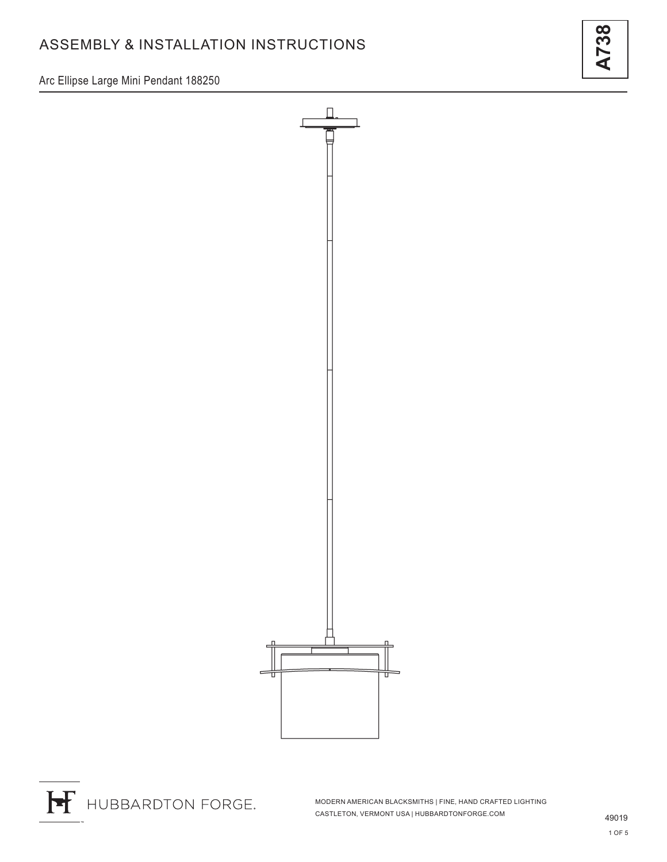Arc Ellipse Large Mini Pendant 188250





MODERN AMERICAN BLACKSMITHS | FINE, HAND CRAFTED LIGHTING CASTLETON, VERMONT USA | HUBBARDTONFORGE.COM 49019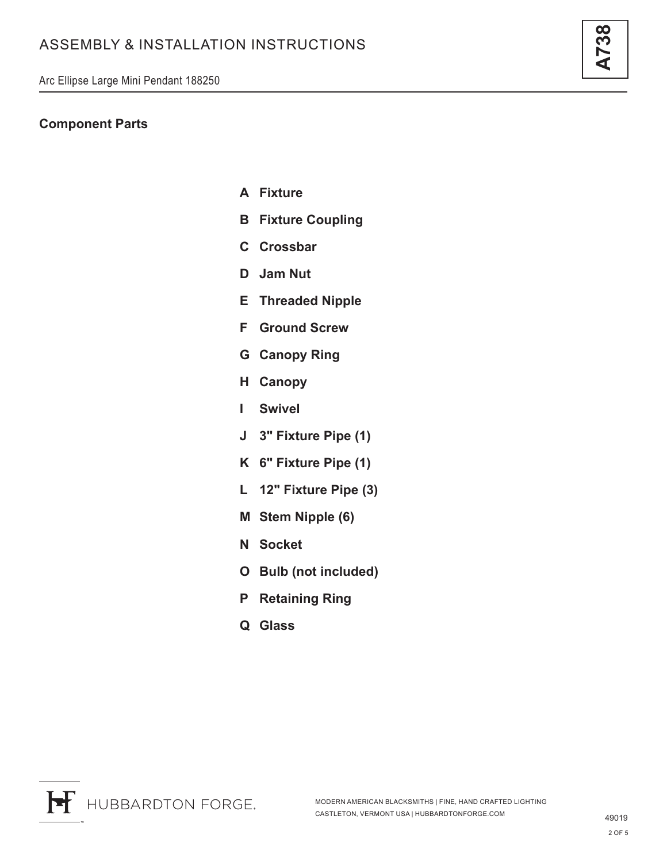### **Component Parts**

- **A Fixture**
- **B Fixture Coupling**
- **C Crossbar**
- **D Jam Nut**
- **E Threaded Nipple**
- **F Ground Screw**
- **G Canopy Ring**
- **H Canopy**
- **I Swivel**
- **J 3" Fixture Pipe (1)**
- **K 6" Fixture Pipe (1)**
- **L 12" Fixture Pipe (3)**
- **M Stem Nipple (6)**
- **N Socket**
- **O Bulb (not included)**
- **P Retaining Ring**
- **Q Glass**



<u>ကိ</u>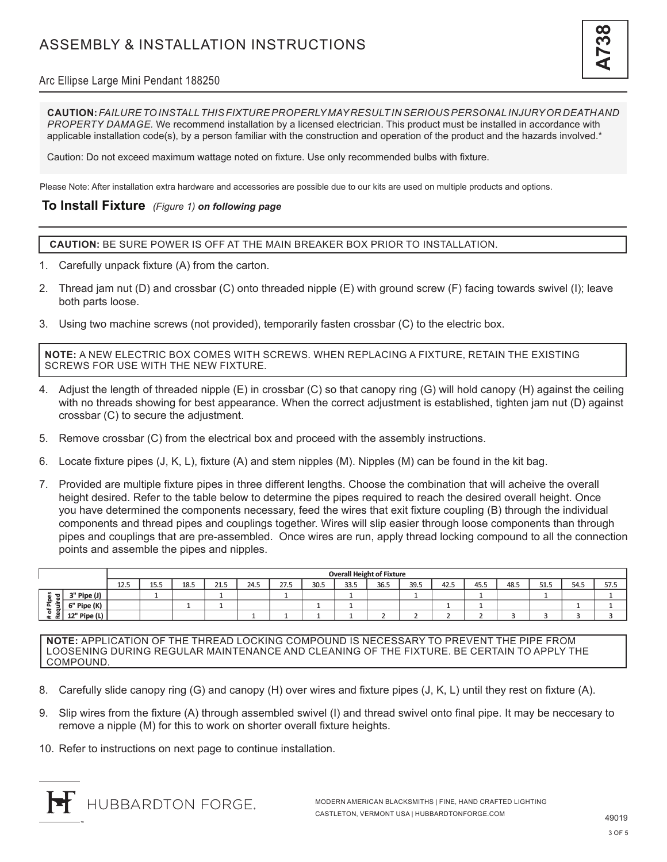

#### Arc Ellipse Large Mini Pendant 188250

**CAUTION:** *FAILURE TO INSTALL THIS FIXTURE PROPERLY MAY RESULT IN SERIOUS PERSONAL INJURY OR DEATH AND PROPERTY DAMAGE.* We recommend installation by a licensed electrician. This product must be installed in accordance with applicable installation code(s), by a person familiar with the construction and operation of the product and the hazards involved.\*

Caution: Do not exceed maximum wattage noted on fixture. Use only recommended bulbs with fixture.

Please Note: After installation extra hardware and accessories are possible due to our kits are used on multiple products and options.

#### **To Install Fixture** *(Figure 1) on following page*

**CAUTION:** BE SURE POWER IS OFF AT THE MAIN BREAKER BOX PRIOR TO INSTALLATION.

- 1. Carefully unpack fixture (A) from the carton.
- 2. Thread jam nut (D) and crossbar (C) onto threaded nipple (E) with ground screw (F) facing towards swivel (I); leave both parts loose.
- 3. Using two machine screws (not provided), temporarily fasten crossbar (C) to the electric box.

**NOTE:** A NEW ELECTRIC BOX COMES WITH SCREWS. WHEN REPLACING A FIXTURE, RETAIN THE EXISTING SCREWS FOR USE WITH THE NEW FIXTURE.

- 4. Adjust the length of threaded nipple (E) in crossbar (C) so that canopy ring (G) will hold canopy (H) against the ceiling with no threads showing for best appearance. When the correct adjustment is established, tighten jam nut (D) against crossbar (C) to secure the adjustment.
- 5. Remove crossbar (C) from the electrical box and proceed with the assembly instructions.
- 6. Locate fixture pipes (J, K, L), fixture (A) and stem nipples (M). Nipples (M) can be found in the kit bag.
- 7. Provided are multiple fixture pipes in three different lengths. Choose the combination that will acheive the overall height desired. Refer to the table below to determine the pipes required to reach the desired overall height. Once you have determined the components necessary, feed the wires that exit fixture coupling (B) through the individual components and thread pipes and couplings together. Wires will slip easier through loose components than through pipes and couplings that are pre-assembled. Once wires are run, apply thread locking compound to all the connection points and assemble the pipes and nipples.

|                                                                         |              | <b>Overall Height of Fixture</b> |      |      |      |      |      |      |      |      |      |      |      |      |      |      |      |
|-------------------------------------------------------------------------|--------------|----------------------------------|------|------|------|------|------|------|------|------|------|------|------|------|------|------|------|
|                                                                         |              | 12.5                             | 15.5 | 18.5 | 21.5 | 24.5 | 27.5 | 30.5 | 33.5 | 36.5 | 39.5 | 42.5 | 45.5 | 48.5 | 51.5 | 54.5 | 57.5 |
| $\mathbf{\overline{5}}$<br>$\mathbf{a}$<br>゠<br>ъ.<br>௨<br>ے<br>ъ<br>്ധ | 3" Pipe (J)  |                                  |      |      |      |      |      |      |      |      |      |      |      |      |      |      |      |
|                                                                         | 6" Pipe (K)  |                                  |      |      |      |      |      |      |      |      |      |      |      |      |      |      |      |
|                                                                         | 12" Pipe (L) |                                  |      |      |      |      |      |      |      |      |      |      |      |      |      |      |      |

**NOTE:** APPLICATION OF THE THREAD LOCKING COMPOUND IS NECESSARY TO PREVENT THE PIPE FROM LOOSENING DURING REGULAR MAINTENANCE AND CLEANING OF THE FIXTURE. BE CERTAIN TO APPLY THE COMPOUND.

- 8. Carefully slide canopy ring (G) and canopy (H) over wires and fixture pipes (J, K, L) until they rest on fixture (A).
- 9. Slip wires from the fixture (A) through assembled swivel (I) and thread swivel onto final pipe. It may be neccesary to remove a nipple (M) for this to work on shorter overall fixture heights.
- 10. Refer to instructions on next page to continue installation.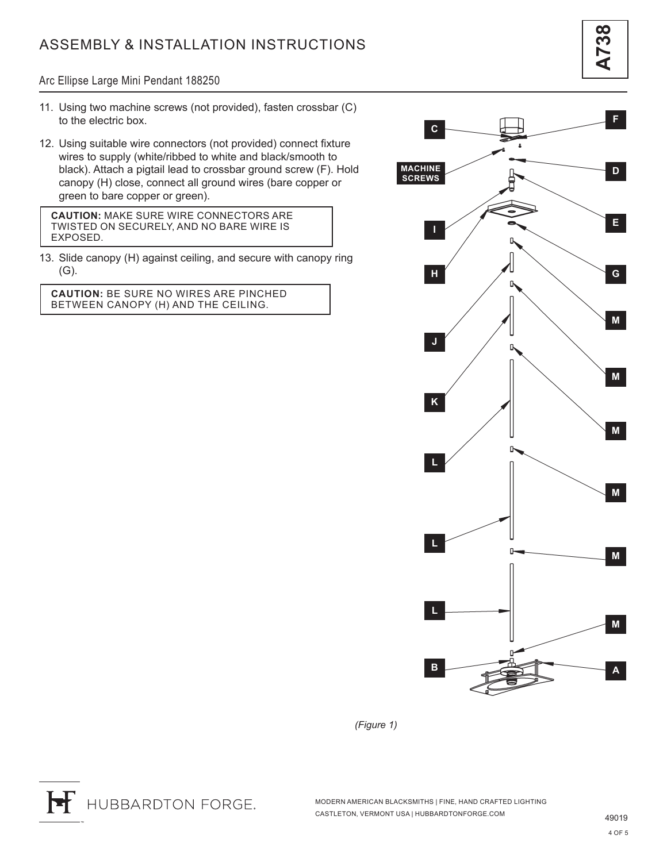Arc Ellipse Large Mini Pendant 188250

- 11. Using two machine screws (not provided), fasten crossbar (C) to the electric box.
- 12. Using suitable wire connectors (not provided) connect fixture wires to supply (white/ribbed to white and black/smooth to black). Attach a pigtail lead to crossbar ground screw (F). Hold canopy (H) close, connect all ground wires (bare copper or green to bare copper or green).

**CAUTION:** MAKE SURE WIRE CONNECTORS ARE TWISTED ON SECURELY, AND NO BARE WIRE IS EXPOSED.

13. Slide canopy (H) against ceiling, and secure with canopy ring (G).

**CAUTION:** BE SURE NO WIRES ARE PINCHED BETWEEN CANOPY (H) AND THE CEILING.



*(Figure 1)*